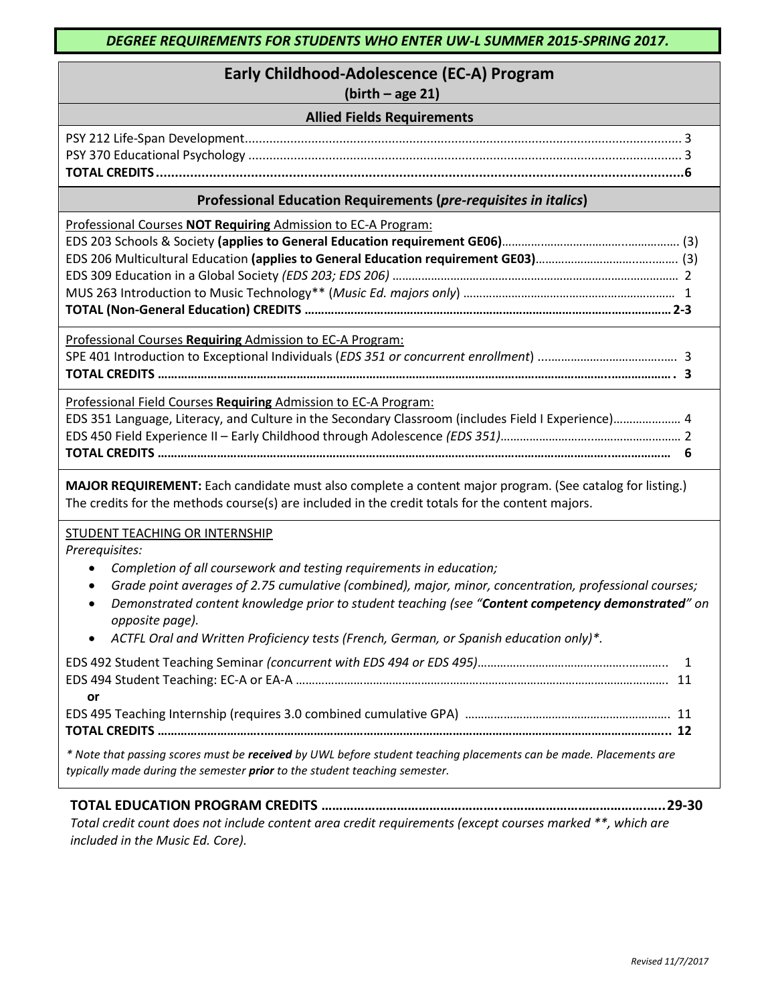# **Early Childhood-Adolescence (EC-A) Program**

**(birth – age 21)**

| <b>Allied Fields Requirements</b> |  |
|-----------------------------------|--|
|-----------------------------------|--|

## **Professional Education Requirements (***pre-requisites in italics***)**

Professional Courses **NOT Requiring** Admission to EC-A Program: EDS 203 Schools & Society **(applies to General Education requirement GE06)**………….……………………..……………. (3) EDS 206 Multicultural Education **(applies to General Education requirement GE03)**…………………………..…..……. (3) EDS 309 Education in a Global Society *(EDS 203; EDS 206)* ……………………………….……….…………………………………… 2 MUS 263 Introduction to Music Technology\*\* (*Music Ed. majors only*) ………………………………………………………… 1 **TOTAL (Non-General Education) CREDITS …………………………………………………………………………………………………2-3**

Professional Courses **Requiring** Admission to EC-A Program:

SPE 401 Introduction to Exceptional Individuals (*EDS 351 or concurrent enrollment*) ....……………………………..…. 3 **TOTAL CREDITS ………………………………………………………………………………………………………………………..………………. 3**

Professional Field Courses **Requiring** Admission to EC-A Program:

| EDS 351 Language, Literacy, and Culture in the Secondary Classroom (includes Field I Experience) 4 |  |
|----------------------------------------------------------------------------------------------------|--|
|                                                                                                    |  |
|                                                                                                    |  |

**MAJOR REQUIREMENT:** Each candidate must also complete a content major program. (See catalog for listing.) The credits for the methods course(s) are included in the credit totals for the content majors.

### STUDENT TEACHING OR INTERNSHIP

*Prerequisites:* 

- *Completion of all coursework and testing requirements in education;*
- *Grade point averages of 2.75 cumulative (combined), major, minor, concentration, professional courses;*
- *Demonstrated content knowledge prior to student teaching (see "Content competency demonstrated" on opposite page).*
- *ACTFL Oral and Written Proficiency tests (French, German, or Spanish education only)\*.*

| <b>or</b>                                                                                                                |  |
|--------------------------------------------------------------------------------------------------------------------------|--|
|                                                                                                                          |  |
|                                                                                                                          |  |
| * Note that passing scores must be <b>received</b> by UWL before student teaching placements can be made. Placements are |  |

*typically made during the semester prior to the student teaching semester.* 

# **TOTAL EDUCATION PROGRAM CREDITS …………………………………………..………………………………….…..29-30**

*Total credit count does not include content area credit requirements (except courses marked \*\*, which are included in the Music Ed. Core).*